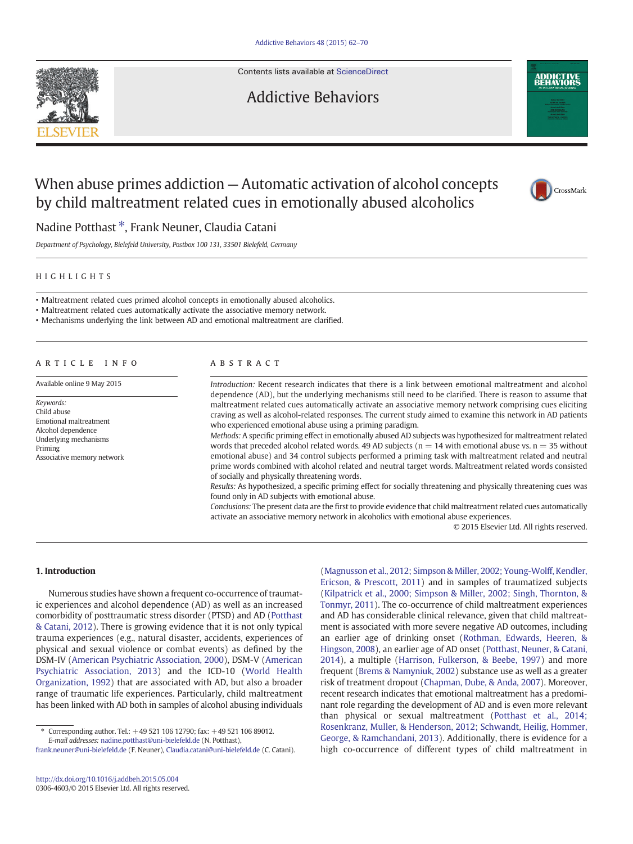

Contents lists available at [ScienceDirect](http://www.sciencedirect.com/science/journal/03064603)

## Addictive Behaviors



# When abuse primes addiction — Automatic activation of alcohol concepts by child maltreatment related cues in emotionally abused alcoholics



Nadine Potthast<sup>\*</sup>, Frank Neuner, Claudia Catani

Department of Psychology, Bielefeld University, Postbox 100 131, 33501 Bielefeld, Germany

### HIGHLIGHTS

• Maltreatment related cues primed alcohol concepts in emotionally abused alcoholics.

• Maltreatment related cues automatically activate the associative memory network.

• Mechanisms underlying the link between AD and emotional maltreatment are clarified.

Available online 9 May 2015

Keywords: Child abuse Emotional maltreatment Alcohol dependence Underlying mechanisms Priming Associative memory network

#### article info abstract

Introduction: Recent research indicates that there is a link between emotional maltreatment and alcohol dependence (AD), but the underlying mechanisms still need to be clarified. There is reason to assume that maltreatment related cues automatically activate an associative memory network comprising cues eliciting craving as well as alcohol-related responses. The current study aimed to examine this network in AD patients who experienced emotional abuse using a priming paradigm.

Methods: A specific priming effect in emotionally abused AD subjects was hypothesized for maltreatment related words that preceded alcohol related words. 49 AD subjects ( $n = 14$  with emotional abuse vs.  $n = 35$  without emotional abuse) and 34 control subjects performed a priming task with maltreatment related and neutral prime words combined with alcohol related and neutral target words. Maltreatment related words consisted of socially and physically threatening words.

Results: As hypothesized, a specific priming effect for socially threatening and physically threatening cues was found only in AD subjects with emotional abuse.

Conclusions: The present data are the first to provide evidence that child maltreatment related cues automatically activate an associative memory network in alcoholics with emotional abuse experiences.

© 2015 Elsevier Ltd. All rights reserved.

#### 1. Introduction

Numerous studies have shown a frequent co-occurrence of traumatic experiences and alcohol dependence (AD) as well as an increased comorbidity of posttraumatic stress disorder (PTSD) and AD [\(Potthast](#page--1-0) [& Catani, 2012](#page--1-0)). There is growing evidence that it is not only typical trauma experiences (e.g., natural disaster, accidents, experiences of physical and sexual violence or combat events) as defined by the DSM-IV ([American Psychiatric Association, 2000\)](#page--1-0), DSM-V ([American](#page--1-0) [Psychiatric Association, 2013](#page--1-0)) and the ICD-10 ([World Health](#page--1-0) [Organization, 1992](#page--1-0)) that are associated with AD, but also a broader range of traumatic life experiences. Particularly, child maltreatment has been linked with AD both in samples of alcohol abusing individuals

⁎ Corresponding author. Tel.: +49 521 106 12790; fax: +49 521 106 89012. E-mail addresses: [nadine.potthast@uni-bielefeld.de](mailto:nadine.potthast@uni-bielefeld.de) (N. Potthast),

[frank.neuner@uni-bielefeld.de](mailto:frank.neuner@uni-bielefeld.de) (F. Neuner), [Claudia.catani@uni-bielefeld.de](mailto:Claudia.catani@uni-bielefeld.de) (C. Catani).

[\(Magnusson et al., 2012; Simpson & Miller, 2002; Young-Wolff, Kendler,](#page--1-0) [Ericson, & Prescott, 2011](#page--1-0)) and in samples of traumatized subjects [\(Kilpatrick et al., 2000; Simpson & Miller, 2002; Singh, Thornton, &](#page--1-0) [Tonmyr, 2011](#page--1-0)). The co-occurrence of child maltreatment experiences and AD has considerable clinical relevance, given that child maltreatment is associated with more severe negative AD outcomes, including an earlier age of drinking onset [\(Rothman, Edwards, Heeren, &](#page--1-0) [Hingson, 2008\)](#page--1-0), an earlier age of AD onset ([Potthast, Neuner, & Catani,](#page--1-0) [2014](#page--1-0)), a multiple [\(Harrison, Fulkerson, & Beebe, 1997](#page--1-0)) and more frequent ([Brems & Namyniuk, 2002](#page--1-0)) substance use as well as a greater risk of treatment dropout [\(Chapman, Dube, & Anda, 2007](#page--1-0)). Moreover, recent research indicates that emotional maltreatment has a predominant role regarding the development of AD and is even more relevant than physical or sexual maltreatment [\(Potthast et al., 2014;](#page--1-0) [Rosenkranz, Muller, & Henderson, 2012; Schwandt, Heilig, Hommer,](#page--1-0) [George, & Ramchandani, 2013](#page--1-0)). Additionally, there is evidence for a high co-occurrence of different types of child maltreatment in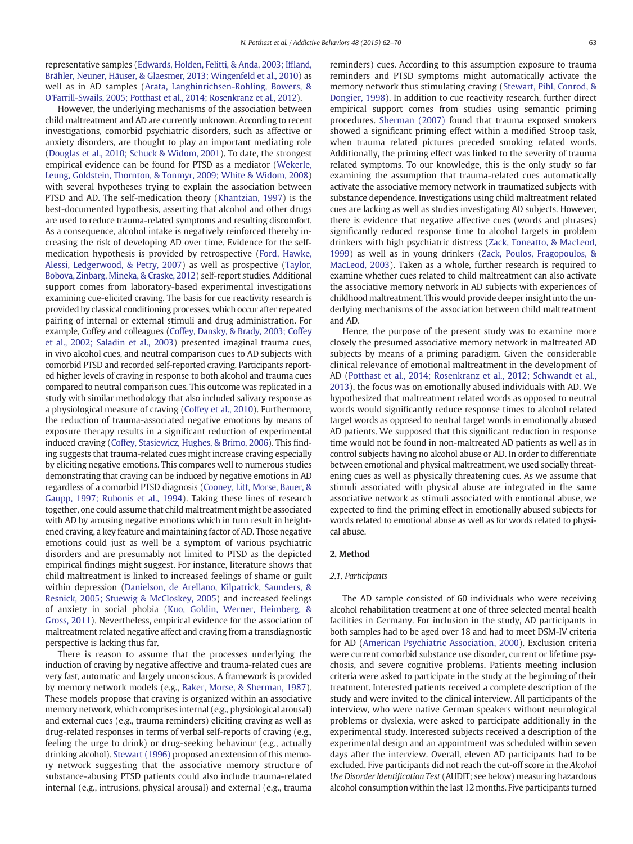representative samples ([Edwards, Holden, Felitti, & Anda, 2003; If](#page--1-0)fland, [Brähler, Neuner, Häuser, & Glaesmer, 2013; Wingenfeld et al., 2010\)](#page--1-0) as well as in AD samples [\(Arata, Langhinrichsen-Rohling, Bowers, &](#page--1-0) [O'Farrill-Swails, 2005; Potthast et al., 2014; Rosenkranz et al., 2012](#page--1-0)).

However, the underlying mechanisms of the association between child maltreatment and AD are currently unknown. According to recent investigations, comorbid psychiatric disorders, such as affective or anxiety disorders, are thought to play an important mediating role [\(Douglas et al., 2010; Schuck & Widom, 2001](#page--1-0)). To date, the strongest empirical evidence can be found for PTSD as a mediator ([Wekerle,](#page--1-0) [Leung, Goldstein, Thornton, & Tonmyr, 2009; White & Widom, 2008](#page--1-0)) with several hypotheses trying to explain the association between PTSD and AD. The self-medication theory [\(Khantzian, 1997\)](#page--1-0) is the best-documented hypothesis, asserting that alcohol and other drugs are used to reduce trauma-related symptoms and resulting discomfort. As a consequence, alcohol intake is negatively reinforced thereby increasing the risk of developing AD over time. Evidence for the selfmedication hypothesis is provided by retrospective [\(Ford, Hawke,](#page--1-0) [Alessi, Ledgerwood, & Petry, 2007](#page--1-0)) as well as prospective ([Taylor,](#page--1-0) [Bobova, Zinbarg, Mineka, & Craske, 2012](#page--1-0)) self-report studies. Additional support comes from laboratory-based experimental investigations examining cue-elicited craving. The basis for cue reactivity research is provided by classical conditioning processes, which occur after repeated pairing of internal or external stimuli and drug administration. For example, Coffey and colleagues ([Coffey, Dansky, & Brady, 2003; Coffey](#page--1-0) [et al., 2002; Saladin et al., 2003\)](#page--1-0) presented imaginal trauma cues, in vivo alcohol cues, and neutral comparison cues to AD subjects with comorbid PTSD and recorded self-reported craving. Participants reported higher levels of craving in response to both alcohol and trauma cues compared to neutral comparison cues. This outcome was replicated in a study with similar methodology that also included salivary response as a physiological measure of craving ([Coffey et al., 2010](#page--1-0)). Furthermore, the reduction of trauma-associated negative emotions by means of exposure therapy results in a significant reduction of experimental induced craving ([Coffey, Stasiewicz, Hughes, & Brimo, 2006](#page--1-0)). This finding suggests that trauma-related cues might increase craving especially by eliciting negative emotions. This compares well to numerous studies demonstrating that craving can be induced by negative emotions in AD regardless of a comorbid PTSD diagnosis ([Cooney, Litt, Morse, Bauer, &](#page--1-0) [Gaupp, 1997; Rubonis et al., 1994\)](#page--1-0). Taking these lines of research together, one could assume that child maltreatment might be associated with AD by arousing negative emotions which in turn result in heightened craving, a key feature and maintaining factor of AD. Those negative emotions could just as well be a symptom of various psychiatric disorders and are presumably not limited to PTSD as the depicted empirical findings might suggest. For instance, literature shows that child maltreatment is linked to increased feelings of shame or guilt within depression [\(Danielson, de Arellano, Kilpatrick, Saunders, &](#page--1-0) [Resnick, 2005; Stuewig & McCloskey, 2005\)](#page--1-0) and increased feelings of anxiety in social phobia ([Kuo, Goldin, Werner, Heimberg, &](#page--1-0) [Gross, 2011\)](#page--1-0). Nevertheless, empirical evidence for the association of maltreatment related negative affect and craving from a transdiagnostic perspective is lacking thus far.

There is reason to assume that the processes underlying the induction of craving by negative affective and trauma-related cues are very fast, automatic and largely unconscious. A framework is provided by memory network models (e.g., [Baker, Morse, & Sherman, 1987](#page--1-0)). These models propose that craving is organized within an associative memory network, which comprises internal (e.g., physiological arousal) and external cues (e.g., trauma reminders) eliciting craving as well as drug-related responses in terms of verbal self-reports of craving (e.g., feeling the urge to drink) or drug-seeking behaviour (e.g., actually drinking alcohol). [Stewart \(1996\)](#page--1-0) proposed an extension of this memory network suggesting that the associative memory structure of substance-abusing PTSD patients could also include trauma-related internal (e.g., intrusions, physical arousal) and external (e.g., trauma

reminders) cues. According to this assumption exposure to trauma reminders and PTSD symptoms might automatically activate the memory network thus stimulating craving ([Stewart, Pihl, Conrod, &](#page--1-0) [Dongier, 1998\)](#page--1-0). In addition to cue reactivity research, further direct empirical support comes from studies using semantic priming procedures. [Sherman \(2007\)](#page--1-0) found that trauma exposed smokers showed a significant priming effect within a modified Stroop task, when trauma related pictures preceded smoking related words. Additionally, the priming effect was linked to the severity of trauma related symptoms. To our knowledge, this is the only study so far examining the assumption that trauma-related cues automatically activate the associative memory network in traumatized subjects with substance dependence. Investigations using child maltreatment related cues are lacking as well as studies investigating AD subjects. However, there is evidence that negative affective cues (words and phrases) significantly reduced response time to alcohol targets in problem drinkers with high psychiatric distress [\(Zack, Toneatto, & MacLeod,](#page--1-0) [1999\)](#page--1-0) as well as in young drinkers ([Zack, Poulos, Fragopoulos, &](#page--1-0) [MacLeod, 2003\)](#page--1-0). Taken as a whole, further research is required to examine whether cues related to child maltreatment can also activate the associative memory network in AD subjects with experiences of childhood maltreatment. This would provide deeper insight into the underlying mechanisms of the association between child maltreatment and AD.

Hence, the purpose of the present study was to examine more closely the presumed associative memory network in maltreated AD subjects by means of a priming paradigm. Given the considerable clinical relevance of emotional maltreatment in the development of AD ([Potthast et al., 2014; Rosenkranz et al., 2012; Schwandt et al.,](#page--1-0) [2013\)](#page--1-0), the focus was on emotionally abused individuals with AD. We hypothesized that maltreatment related words as opposed to neutral words would significantly reduce response times to alcohol related target words as opposed to neutral target words in emotionally abused AD patients. We supposed that this significant reduction in response time would not be found in non-maltreated AD patients as well as in control subjects having no alcohol abuse or AD. In order to differentiate between emotional and physical maltreatment, we used socially threatening cues as well as physically threatening cues. As we assume that stimuli associated with physical abuse are integrated in the same associative network as stimuli associated with emotional abuse, we expected to find the priming effect in emotionally abused subjects for words related to emotional abuse as well as for words related to physical abuse.

#### 2. Method

#### 2.1. Participants

The AD sample consisted of 60 individuals who were receiving alcohol rehabilitation treatment at one of three selected mental health facilities in Germany. For inclusion in the study, AD participants in both samples had to be aged over 18 and had to meet DSM-IV criteria for AD ([American Psychiatric Association, 2000](#page--1-0)). Exclusion criteria were current comorbid substance use disorder, current or lifetime psychosis, and severe cognitive problems. Patients meeting inclusion criteria were asked to participate in the study at the beginning of their treatment. Interested patients received a complete description of the study and were invited to the clinical interview. All participants of the interview, who were native German speakers without neurological problems or dyslexia, were asked to participate additionally in the experimental study. Interested subjects received a description of the experimental design and an appointment was scheduled within seven days after the interview. Overall, eleven AD participants had to be excluded. Five participants did not reach the cut-off score in the Alcohol Use Disorder Identification Test (AUDIT; see below) measuring hazardous alcohol consumption within the last 12 months. Five participants turned